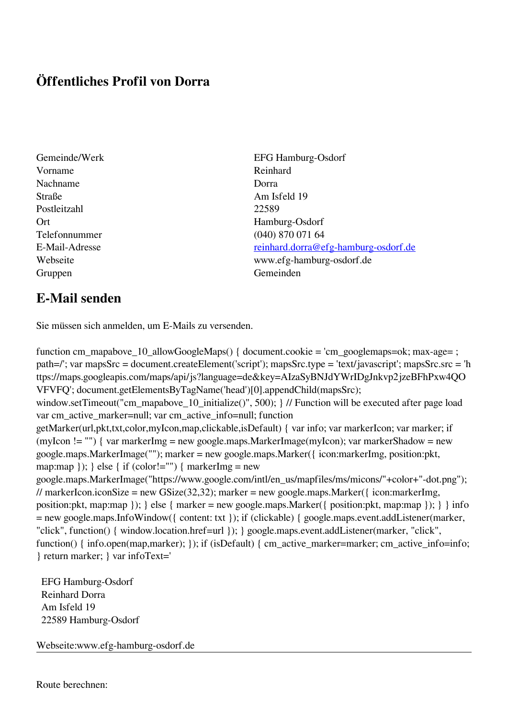## **Öffentliches Profil von Dorra**

- Vorname Reinhard Nachname Dorra Straße Am Isfeld 19 Postleitzahl 22589 Ort Hamburg-Osdorf Gruppen Gemeinden Gemeinden Gemeinden Gemeinden Gemeinden Gemeinden Gemeinden Gemeinden Gemeinden Gemeinden G
- Gemeinde/Werk EFG Hamburg-Osdorf Telefonnummer (040) 870 071 64 E-Mail-Adresse [reinhard.dorra@efg-hamburg-osdorf.de](mailto:reinhard.dorra@efg-hamburg-osdorf.de) Webseite www.efg-hamburg-osdorf.de

## **E-Mail senden**

Sie müssen sich anmelden, um E-Mails zu versenden.

function cm\_mapabove\_10\_allowGoogleMaps() { document.cookie = 'cm\_googlemaps=ok; max-age= ; path=/'; var mapsSrc = document.createElement('script'); mapsSrc.type = 'text/javascript'; mapsSrc.src = 'h ttps://maps.googleapis.com/maps/api/js?language=de&key=AIzaSyBNJdYWrIDgJnkvp2jzeBFhPxw4QO VFVFQ'; document.getElementsByTagName('head')[0].appendChild(mapsSrc); window.setTimeout("cm\_mapabove\_10\_initialize()", 500); } // Function will be executed after page load var cm\_active\_marker=null; var cm\_active\_info=null; function getMarker(url,pkt,txt,color,myIcon,map,clickable,isDefault) { var info; var markerIcon; var marker; if (myIcon != "") { var markerImg = new google.maps.MarkerImage(myIcon); var markerShadow = new google.maps.MarkerImage(""); marker = new google.maps.Marker({ icon:markerImg, position:pkt, map:map  $\}$ ;  $\}$  else  $\{$  if (color!="")  $\{$  markerImg = new google.maps.MarkerImage("https://www.google.com/intl/en\_us/mapfiles/ms/micons/"+color+"-dot.png"); // markerIcon.iconSize = new GSize(32,32); marker = new google.maps.Marker({ $i$ con:markerImg, position:pkt, map:map }); } else { marker = new google.maps.Marker({ position:pkt, map:map }); } } info = new google.maps.InfoWindow({ content: txt }); if (clickable) { google.maps.event.addListener(marker, "click", function() { window.location.href=url }); } google.maps.event.addListener(marker, "click", function() { info.open(map,marker); }); if (isDefault) { cm\_active\_marker=marker; cm\_active\_info=info; } return marker; } var infoText='

 EFG Hamburg-Osdorf Reinhard Dorra Am Isfeld 19 22589 Hamburg-Osdorf

Webseite:www.efg-hamburg-osdorf.de